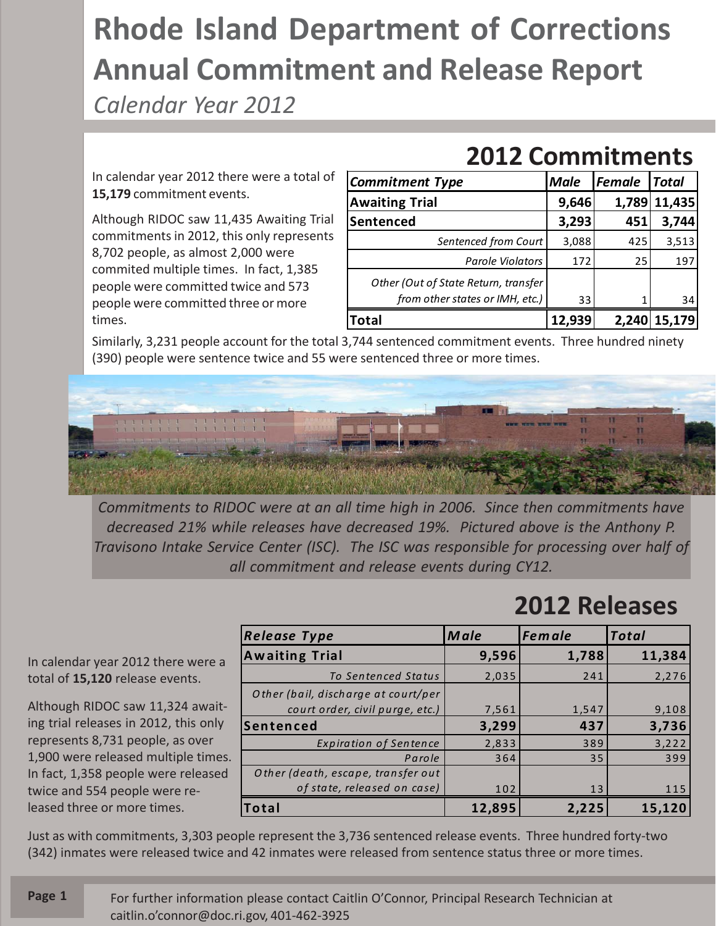## **Rhode Island Department of Corrections Annual Commitment and Release Report**

*Calendar Year 2012*

In calendar year 2012 there were a total of **15,179** commitment events.

Although RIDOC saw 11,435 Awaiting Trial commitments in 2012, this only represents 8,702 people, as almost 2,000 were commited multiple times. In fact, 1,385 people were committed twice and 573 people were committed three or more times.

| ZVIZ CONNINGHICA                                                        |             |        |              |
|-------------------------------------------------------------------------|-------------|--------|--------------|
| <b>Commitment Type</b>                                                  | <b>Male</b> | Female | <b>Total</b> |
| <b>Awaiting Trial</b>                                                   | 9,646       | 1,789  | 11,435       |
| Sentenced                                                               | 3,293       | 451    | 3,744        |
| Sentenced from Court                                                    | 3,088       | 425    | 3,513        |
| <b>Parole Violators</b>                                                 | 172         | 25     | 197          |
| Other (Out of State Return, transfer<br>from other states or IMH, etc.) | 33          |        | 34           |
| <b>Total</b>                                                            | 12,939      |        | 2,240 15,179 |

**2012 Commitments**

Similarly, 3,231 people account for the total 3,744 sentenced commitment events. Three hundred ninety (390) people were sentence twice and 55 were sentenced three or more times.



*Commitments to RIDOC were at an all time high in 2006. Since then commitments have decreased 21% while releases have decreased 19%. Pictured above is the Anthony P. Travisono Intake Service Center (ISC). The ISC was responsible for processing over half of all commitment and release events during CY12.*

## **2012 Releases**

*Release Type Male Female Total* **Awaiting Trial 9,596 1,788 11,384** *To Sentenced Status* 2,035 241 2,276 *O ther (bail, discharge at court/per court order, civil purge, etc.*) **7,561** 1,547 9,108 **Sentenced 3,299 437 3,736** *Expiration of Sentence* | 2,833 | 389 3,222 Parole 364 35 399 *O ther (death, escape, transfer out of state, released on case*)  $\vert$  102 13 115 **Total 12,895 2,225 15,120**

Just as with commitments, 3,303 people represent the 3,736 sentenced release events. Three hundred forty-two (342) inmates were released twice and 42 inmates were released from sentence status three or more times.

In calendar year 2012 there were a total of **15,120** release events.

ing trial releases in 2012, this only represents 8,731 people, as over 1,900 were released multiple times. In fact, 1,358 people were released twice and 554 people were released three or more times.

Although RIDOC saw 11,324 await-